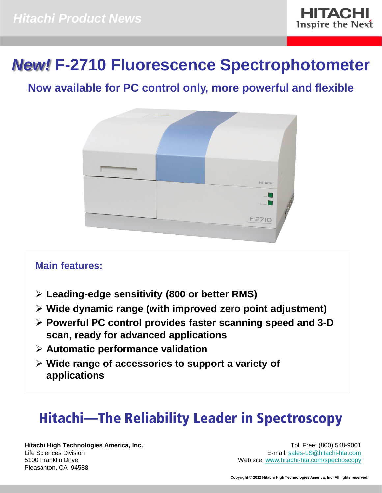

# *New!* **F-2710 Fluorescence Spectrophotometer**

## **Now available for PC control only, more powerful and flexible**



## **Main features:**

- **Leading-edge sensitivity (800 or better RMS)**
- **Wide dynamic range (with improved zero point adjustment)**
- **Powerful PC control provides faster scanning speed and 3-D scan, ready for advanced applications**
- **Automatic performance validation**
- **Wide range of accessories to support a variety of applications**

# Hitachi—The Reliability Leader in Spectroscopy

**Hitachi High Technologies America, Inc.** Life Sciences Division 5100 Franklin Drive Pleasanton, CA 94588

Toll Free: (800) 548-9001 E-mail: [sales-LS@hitachi-hta.com](mailto:sales-LS@hitachi-hta.com) Web site: [www.hitachi-hta.com/spectroscopy](http://www.hitachi-hta.com/spectroscopy)